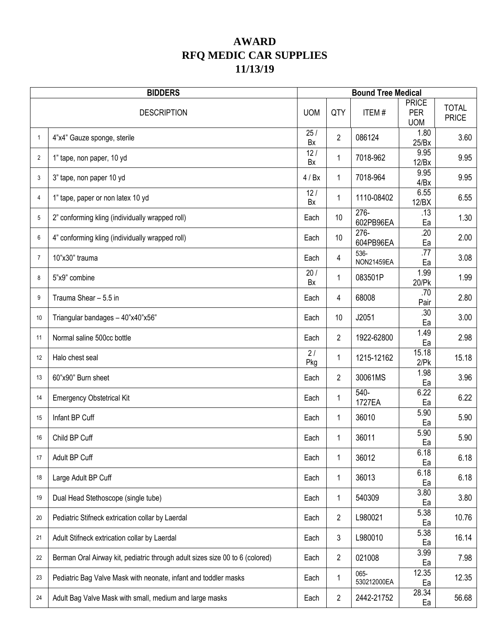## **AWARD RFQ MEDIC CAR SUPPLIES 11/13/19**

|                | <b>BIDDERS</b>                                                               |            |                | <b>Bound Tree Medical</b> |                                          |                              |
|----------------|------------------------------------------------------------------------------|------------|----------------|---------------------------|------------------------------------------|------------------------------|
|                | <b>DESCRIPTION</b>                                                           | <b>UOM</b> | QTY            | ITEM#                     | <b>PRICE</b><br><b>PER</b><br><b>UOM</b> | <b>TOTAL</b><br><b>PRICE</b> |
| $\mathbf{1}$   | 4"x4" Gauze sponge, sterile                                                  | 25/<br>Bx  | $\overline{2}$ | 086124                    | 1.80<br>25/Bx                            | 3.60                         |
| $\overline{2}$ | 1" tape, non paper, 10 yd                                                    | 12/<br>Bx  | 1              | 7018-962                  | 9.95<br>12/Bx                            | 9.95                         |
| 3              | 3" tape, non paper 10 yd                                                     | 4/ Bx      | 1              | 7018-964                  | 9.95<br>4/Bx                             | 9.95                         |
| 4              | 1" tape, paper or non latex 10 yd                                            | 12/<br>Bx  | 1              | 1110-08402                | 6.55<br>12/BX                            | 6.55                         |
| 5              | 2" conforming kling (individually wrapped roll)                              | Each       | 10             | 276-<br>602PB96EA         | .13<br>Ea                                | 1.30                         |
| 6              | 4" conforming kling (individually wrapped roll)                              | Each       | 10             | $276 -$<br>604PB96EA      | $\overline{.20}$<br>Ea                   | 2.00                         |
| $\overline{7}$ | 10"x30" trauma                                                               | Each       | 4              | 536-<br><b>NON21459EA</b> | .77<br>Ea                                | 3.08                         |
| 8              | 5"x9" combine                                                                | 20/<br>Bx  | $\mathbf{1}$   | 083501P                   | 1.99<br>20/Pk                            | 1.99                         |
| 9              | Trauma Shear - 5.5 in                                                        | Each       | 4              | 68008                     | .70<br>Pair                              | 2.80                         |
| 10             | Triangular bandages - 40"x40"x56"                                            | Each       | 10             | J2051                     | .30<br>Ea                                | 3.00                         |
| 11             | Normal saline 500cc bottle                                                   | Each       | $\overline{2}$ | 1922-62800                | 1.49<br>Ea                               | 2.98                         |
| 12             | Halo chest seal                                                              | 2/<br>Pkg  | 1              | 1215-12162                | 15.18<br>$2$ / $Pk$                      | 15.18                        |
| 13             | 60"x90" Burn sheet                                                           | Each       | $\overline{2}$ | 30061MS                   | 1.98<br>Ea                               | 3.96                         |
| 14             | <b>Emergency Obstetrical Kit</b>                                             | Each       | 1              | $540-$<br>1727EA          | 6.22<br>Ea                               | 6.22                         |
| 15             | Infant BP Cuff                                                               | Each       | 1              | 36010                     | 5.90<br>Ea                               | 5.90                         |
| 16             | Child BP Cuff                                                                | Each       | 1              | 36011                     | 5.90<br>Ea                               | 5.90                         |
| 17             | Adult BP Cuff                                                                | Each       | 1              | 36012                     | 6.18<br>Ea                               | 6.18                         |
| 18             | Large Adult BP Cuff                                                          | Each       | $\mathbf{1}$   | 36013                     | 6.18<br>Ea                               | 6.18                         |
| 19             | Dual Head Stethoscope (single tube)                                          | Each       | 1              | 540309                    | 3.80<br>Ea                               | 3.80                         |
| 20             | Pediatric Stifneck extrication collar by Laerdal                             | Each       | $\overline{c}$ | L980021                   | 5.38<br>Ea                               | 10.76                        |
| 21             | Adult Stifneck extrication collar by Laerdal                                 | Each       | 3              | L980010                   | 5.38<br>Ea                               | 16.14                        |
| 22             | Berman Oral Airway kit, pediatric through adult sizes size 00 to 6 (colored) | Each       | $\overline{2}$ | 021008                    | 3.99<br>Ea                               | 7.98                         |
| 23             | Pediatric Bag Valve Mask with neonate, infant and toddler masks              | Each       | 1              | 065-<br>530212000EA       | 12.35<br>Ea                              | 12.35                        |
| 24             | Adult Bag Valve Mask with small, medium and large masks                      | Each       | 2              | 2442-21752                | 28.34<br>Ea                              | 56.68                        |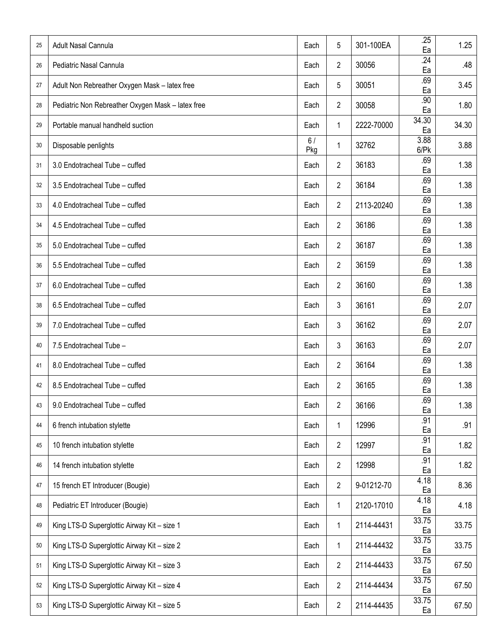| 25 | <b>Adult Nasal Cannula</b>                        | Each      | 5              | 301-100EA  | .25<br>Ea           | 1.25  |
|----|---------------------------------------------------|-----------|----------------|------------|---------------------|-------|
| 26 | Pediatric Nasal Cannula                           | Each      | $\overline{c}$ | 30056      | .24<br>Ea           | .48   |
| 27 | Adult Non Rebreather Oxygen Mask - latex free     | Each      | 5              | 30051      | .69<br>Ea           | 3.45  |
| 28 | Pediatric Non Rebreather Oxygen Mask - latex free | Each      | $\overline{2}$ | 30058      | .90<br>Ea           | 1.80  |
| 29 | Portable manual handheld suction                  | Each      | 1              | 2222-70000 | 34.30<br>Ea         | 34.30 |
| 30 | Disposable penlights                              | 6/<br>Pkg | $\mathbf{1}$   | 32762      | 3.88<br>$6$ / $P$ k | 3.88  |
| 31 | 3.0 Endotracheal Tube - cuffed                    | Each      | $\overline{2}$ | 36183      | .69<br>Ea           | 1.38  |
| 32 | 3.5 Endotracheal Tube - cuffed                    | Each      | $\overline{2}$ | 36184      | .69<br>Ea           | 1.38  |
| 33 | 4.0 Endotracheal Tube - cuffed                    | Each      | $\overline{2}$ | 2113-20240 | .69<br>Ea           | 1.38  |
| 34 | 4.5 Endotracheal Tube - cuffed                    | Each      | 2              | 36186      | .69<br>Ea           | 1.38  |
| 35 | 5.0 Endotracheal Tube - cuffed                    | Each      | $\overline{2}$ | 36187      | .69<br>Ea           | 1.38  |
| 36 | 5.5 Endotracheal Tube - cuffed                    | Each      | $\overline{c}$ | 36159      | .69<br>Ea           | 1.38  |
| 37 | 6.0 Endotracheal Tube - cuffed                    | Each      | 2              | 36160      | .69<br>Ea           | 1.38  |
| 38 | 6.5 Endotracheal Tube - cuffed                    | Each      | 3              | 36161      | .69<br>Ea           | 2.07  |
| 39 | 7.0 Endotracheal Tube - cuffed                    | Each      | 3              | 36162      | .69<br>Ea           | 2.07  |
| 40 | 7.5 Endotracheal Tube -                           | Each      | 3              | 36163      | .69<br>Ea           | 2.07  |
| 41 | 8.0 Endotracheal Tube - cuffed                    | Each      | 2              | 36164      | .69<br>Ea           | 1.38  |
| 42 | 8.5 Endotracheal Tube - cuffed                    | Each      | $\overline{2}$ | 36165      | .69<br>Ea           | 1.38  |
| 43 | 9.0 Endotracheal Tube - cuffed                    | Each      | $\overline{2}$ | 36166      | .69<br>Ea           | 1.38  |
| 44 | 6 french intubation stylette                      | Each      | 1              | 12996      | .91<br>Ea           | .91   |
| 45 | 10 french intubation stylette                     | Each      | $\overline{2}$ | 12997      | .91<br>Ea           | 1.82  |
| 46 | 14 french intubation stylette                     | Each      | $\overline{2}$ | 12998      | .91<br>Ea           | 1.82  |
| 47 | 15 french ET Introducer (Bougie)                  | Each      | $\overline{2}$ | 9-01212-70 | 4.18<br>Ea          | 8.36  |
| 48 | Pediatric ET Introducer (Bougie)                  | Each      | 1              | 2120-17010 | 4.18<br>Ea          | 4.18  |
| 49 | King LTS-D Superglottic Airway Kit - size 1       | Each      | 1              | 2114-44431 | 33.75<br>Ea         | 33.75 |
| 50 | King LTS-D Superglottic Airway Kit - size 2       | Each      | 1              | 2114-44432 | 33.75<br>Ea         | 33.75 |
| 51 | King LTS-D Superglottic Airway Kit - size 3       | Each      | $\overline{2}$ | 2114-44433 | 33.75<br>Ea         | 67.50 |
| 52 | King LTS-D Superglottic Airway Kit - size 4       | Each      | $\overline{2}$ | 2114-44434 | 33.75<br>Ea         | 67.50 |
| 53 | King LTS-D Superglottic Airway Kit - size 5       | Each      | $\overline{2}$ | 2114-44435 | 33.75<br>Ea         | 67.50 |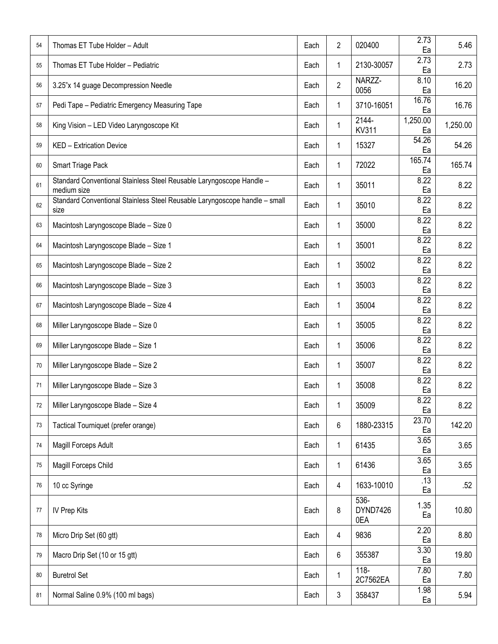| 54     | Thomas ET Tube Holder - Adult                                                       | Each | $\overline{2}$ | 020400                     | 2.73<br>Ea     | 5.46     |
|--------|-------------------------------------------------------------------------------------|------|----------------|----------------------------|----------------|----------|
| 55     | Thomas ET Tube Holder - Pediatric                                                   | Each | 1              | 2130-30057                 | 2.73<br>Ea     | 2.73     |
| 56     | 3.25"x 14 guage Decompression Needle                                                | Each | $\overline{2}$ | NARZZ-<br>0056             | 8.10<br>Ea     | 16.20    |
| 57     | Pedi Tape - Pediatric Emergency Measuring Tape                                      | Each | 1              | 3710-16051                 | 16.76<br>Ea    | 16.76    |
| 58     | King Vision - LED Video Laryngoscope Kit                                            | Each | 1              | $2144 -$<br><b>KV311</b>   | 1,250.00<br>Ea | 1,250.00 |
| 59     | KED - Extrication Device                                                            | Each | $\mathbf{1}$   | 15327                      | 54.26<br>Ea    | 54.26    |
| 60     | Smart Triage Pack                                                                   | Each | 1              | 72022                      | 165.74<br>Ea   | 165.74   |
| 61     | Standard Conventional Stainless Steel Reusable Laryngoscope Handle -<br>medium size | Each | 1              | 35011                      | 8.22<br>Ea     | 8.22     |
| 62     | Standard Conventional Stainless Steel Reusable Laryngoscope handle - small<br>size  | Each | 1              | 35010                      | 8.22<br>Ea     | 8.22     |
| 63     | Macintosh Laryngoscope Blade - Size 0                                               | Each | 1              | 35000                      | 8.22<br>Ea     | 8.22     |
| 64     | Macintosh Laryngoscope Blade - Size 1                                               | Each | 1              | 35001                      | 8.22<br>Ea     | 8.22     |
| 65     | Macintosh Laryngoscope Blade - Size 2                                               | Each | 1              | 35002                      | 8.22<br>Ea     | 8.22     |
| 66     | Macintosh Laryngoscope Blade - Size 3                                               | Each | 1              | 35003                      | 8.22<br>Ea     | 8.22     |
| 67     | Macintosh Laryngoscope Blade - Size 4                                               | Each | 1              | 35004                      | 8.22<br>Ea     | 8.22     |
| 68     | Miller Laryngoscope Blade - Size 0                                                  | Each | 1              | 35005                      | 8.22<br>Ea     | 8.22     |
| 69     | Miller Laryngoscope Blade - Size 1                                                  | Each | 1              | 35006                      | 8.22<br>Ea     | 8.22     |
| 70     | Miller Laryngoscope Blade - Size 2                                                  | Each | 1              | 35007                      | 8.22<br>Ea     | 8.22     |
| 71     | Miller Laryngoscope Blade - Size 3                                                  | Each | 1              | 35008                      | 8.22<br>Ea     | 8.22     |
| $72\,$ | Miller Laryngoscope Blade - Size 4                                                  | Each | 1              | 35009                      | 8.22<br>Ea     | 8.22     |
| 73     | Tactical Tourniquet (prefer orange)                                                 | Each | $6\phantom{.}$ | 1880-23315                 | 23.70<br>Ea    | 142.20   |
| 74     | Magill Forceps Adult                                                                | Each | 1              | 61435                      | 3.65<br>Ea     | 3.65     |
| 75     | Magill Forceps Child                                                                | Each | 1              | 61436                      | 3.65<br>Ea     | 3.65     |
| 76     | 10 cc Syringe                                                                       | Each | $\overline{4}$ | 1633-10010                 | .13<br>Ea      | .52      |
| 77     | IV Prep Kits                                                                        | Each | 8              | $536 -$<br>DYND7426<br>0EA | 1.35<br>Ea     | 10.80    |
| 78     | Micro Drip Set (60 gtt)                                                             | Each | $\overline{4}$ | 9836                       | 2.20<br>Ea     | 8.80     |
| 79     | Macro Drip Set (10 or 15 gtt)                                                       | Each | $6\phantom{.}$ | 355387                     | 3.30<br>Ea     | 19.80    |
| 80     | <b>Buretrol Set</b>                                                                 | Each | 1              | $118 -$<br>2C7562EA        | 7.80<br>Ea     | 7.80     |
| 81     | Normal Saline 0.9% (100 ml bags)                                                    | Each | $\mathfrak{Z}$ | 358437                     | 1.98<br>Ea     | 5.94     |
|        |                                                                                     |      |                |                            |                |          |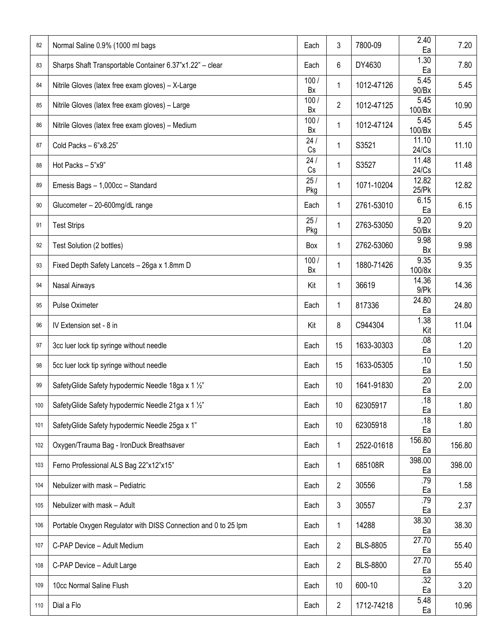| 82  | Normal Saline 0.9% (1000 ml bags                               | Each       | 3              | 7800-09         | 2.40<br>Ea                  | 7.20   |
|-----|----------------------------------------------------------------|------------|----------------|-----------------|-----------------------------|--------|
| 83  | Sharps Shaft Transportable Container 6.37"x1.22" - clear       | Each       | 6              | DY4630          | 1.30<br>Ea                  | 7.80   |
| 84  | Nitrile Gloves (latex free exam gloves) - X-Large              | 100/<br>Bx | 1              | 1012-47126      | 5.45<br>90/Bx               | 5.45   |
| 85  | Nitrile Gloves (latex free exam gloves) - Large                | 100/<br>Bx | $\overline{c}$ | 1012-47125      | 5.45<br>100/Bx              | 10.90  |
| 86  | Nitrile Gloves (latex free exam gloves) - Medium               | 100/<br>Bx | 1              | 1012-47124      | 5.45<br>100/Bx              | 5.45   |
| 87  | Cold Packs - 6"x8.25"                                          | 24/<br>Cs  | 1              | S3521           | 11.10<br>24/Cs              | 11.10  |
| 88  | Hot Packs - 5"x9"                                              | 24/<br>Cs  | 1              | S3527           | $\overline{11.48}$<br>24/Cs | 11.48  |
| 89  | Emesis Bags - 1,000cc - Standard                               | 25/<br>Pkg | 1              | 1071-10204      | 12.82<br>25/Pk              | 12.82  |
| 90  | Glucometer - 20-600mg/dL range                                 | Each       | 1              | 2761-53010      | 6.15<br>Ea                  | 6.15   |
| 91  | <b>Test Strips</b>                                             | 25/<br>Pkg | 1              | 2763-53050      | 9.20<br>50/Bx               | 9.20   |
| 92  | Test Solution (2 bottles)                                      | Box        | 1              | 2762-53060      | 9.98<br>Bx                  | 9.98   |
| 93  | Fixed Depth Safety Lancets - 26ga x 1.8mm D                    | 100/<br>Bx | 1              | 1880-71426      | 9.35<br>100/8x              | 9.35   |
| 94  | Nasal Airways                                                  | Kit        | 1              | 36619           | 14.36<br>$9$ / $Pk$         | 14.36  |
| 95  | Pulse Oximeter                                                 | Each       | 1              | 817336          | 24.80<br>Ea                 | 24.80  |
| 96  | IV Extension set - 8 in                                        | Kit        | 8              | C944304         | 1.38<br>Kit                 | 11.04  |
| 97  | 3cc luer lock tip syringe without needle                       | Each       | 15             | 1633-30303      | .08<br>Ea                   | 1.20   |
| 98  | 5cc luer lock tip syringe without needle                       | Each       | 15             | 1633-05305      | .10<br>Ea                   | 1.50   |
| 99  | SafetyGlide Safety hypodermic Needle 18ga x 1 1/2"             | Each       | 10             | 1641-91830      | $\overline{.20}$<br>Ea      | 2.00   |
| 100 | SafetyGlide Safety hypodermic Needle 21ga x 1 1/2"             | Each       | 10             | 62305917        | .18<br>Ea                   | 1.80   |
| 101 | SafetyGlide Safety hypodermic Needle 25ga x 1"                 | Each       | 10             | 62305918        | .18<br>Ea                   | 1.80   |
| 102 | Oxygen/Trauma Bag - IronDuck Breathsaver                       | Each       | $\mathbf{1}$   | 2522-01618      | 156.80<br>Ea                | 156.80 |
| 103 | Ferno Professional ALS Bag 22"x12"x15"                         | Each       | 1              | 685108R         | 398.00<br>Ea                | 398.00 |
| 104 | Nebulizer with mask - Pediatric                                | Each       | $\overline{2}$ | 30556           | .79<br>Ea                   | 1.58   |
| 105 | Nebulizer with mask - Adult                                    | Each       | 3              | 30557           | .79<br>Ea                   | 2.37   |
| 106 | Portable Oxygen Regulator with DISS Connection and 0 to 25 lpm | Each       | 1              | 14288           | 38.30<br>Ea                 | 38.30  |
| 107 | C-PAP Device - Adult Medium                                    | Each       | 2              | <b>BLS-8805</b> | 27.70<br>Ea                 | 55.40  |
| 108 | C-PAP Device - Adult Large                                     | Each       | $\overline{c}$ | <b>BLS-8800</b> | 27.70<br>Ea                 | 55.40  |
| 109 | 10cc Normal Saline Flush                                       | Each       | 10             | 600-10          | $\overline{.32}$<br>Ea      | 3.20   |
| 110 | Dial a Flo                                                     | Each       | $\overline{2}$ | 1712-74218      | 5.48<br>Ea                  | 10.96  |